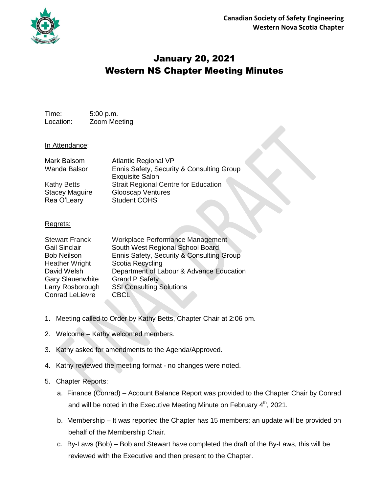

# January 20, 2021 Western NS Chapter Meeting Minutes

Time: 5:00 p.m. Location: Zoom Meeting

#### In Attendance:

| Mark Balsom           | <b>Atlantic Regional VP</b>                 |
|-----------------------|---------------------------------------------|
| <b>Wanda Balsor</b>   | Ennis Safety, Security & Consulting Group   |
|                       | <b>Exquisite Salon</b>                      |
| <b>Kathy Betts</b>    | <b>Strait Regional Centre for Education</b> |
| <b>Stacey Maguire</b> | <b>Glooscap Ventures</b>                    |
| Rea O'Leary           | <b>Student COHS</b>                         |
|                       |                                             |

#### Regrets:

| <b>Stewart Franck</b><br>Gail Sinclair<br><b>Bob Neilson</b><br><b>Heather Wright</b><br>David Welsh<br><b>Gary Slauenwhite</b><br>Larry Rosborough | Workplace Performance Management<br>South West Regional School Board<br>Ennis Safety, Security & Consulting Group<br>Scotia Recycling<br>Department of Labour & Advance Education<br><b>Grand P Safety</b><br><b>SSI Consulting Solutions</b> |
|-----------------------------------------------------------------------------------------------------------------------------------------------------|-----------------------------------------------------------------------------------------------------------------------------------------------------------------------------------------------------------------------------------------------|
| <b>Conrad LeLievre</b>                                                                                                                              | <b>CBCL</b>                                                                                                                                                                                                                                   |
|                                                                                                                                                     |                                                                                                                                                                                                                                               |

- 1. Meeting called to Order by Kathy Betts, Chapter Chair at 2:06 pm.
- 2. Welcome Kathy welcomed members.
- 3. Kathy asked for amendments to the Agenda/Approved.
- 4. Kathy reviewed the meeting format no changes were noted.

## 5. Chapter Reports:

- a. Finance (Conrad) Account Balance Report was provided to the Chapter Chair by Conrad and will be noted in the Executive Meeting Minute on February 4<sup>th</sup>, 2021.
- b. Membership It was reported the Chapter has 15 members; an update will be provided on behalf of the Membership Chair.
- c. By-Laws (Bob) Bob and Stewart have completed the draft of the By-Laws, this will be reviewed with the Executive and then present to the Chapter.